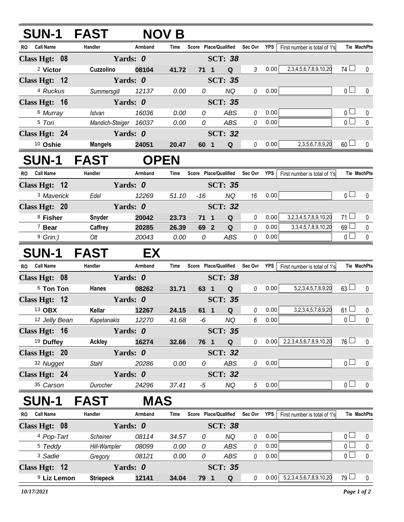| <b>SUN-1 FAST</b>       |                  | <b>NOV B</b>          |       |                |                                   |                 |            |                                   |                |                    |
|-------------------------|------------------|-----------------------|-------|----------------|-----------------------------------|-----------------|------------|-----------------------------------|----------------|--------------------|
| <b>Call Name</b><br>RO. | Handler          | Armband               | Time  |                | Score Place/Qualified             | Sec Ovr         | <b>YPS</b> | First number is total of 1's      |                | <b>Tie MachPts</b> |
| Class Hgt: 08           |                  | Yards: 0              |       |                | <b>SCT: 38</b>                    |                 |            |                                   |                |                    |
| <sup>2</sup> Victor     | Cuzzolino        | 08104                 | 41.72 | $71 \quad 1$   | $\mathbf Q$                       | $\mathfrak{Z}$  | 0.00       | 2,3,4,5,6,7,8,9,10,20             | $74$ $\Box$    | 0                  |
| Class Hgt: 12           |                  | Yards: 0              |       |                | <b>SCT: 35</b>                    |                 |            |                                   |                |                    |
| <sup>4</sup> Ruckus     | Summersgill      | 12137                 | 0.00  | 0              | <b>NQ</b>                         | 0               | 0.00       |                                   | 0 <sub>l</sub> | 0                  |
| Class Hgt: 16           |                  | Yards: 0              |       |                | <b>SCT: 35</b>                    |                 |            |                                   |                |                    |
| 6 Murray                | <b>Istvan</b>    | 16036                 | 0.00  | 0              | ABS                               | $\it{0}$        | 0.00       |                                   | $\overline{0}$ | $\pmb{0}$          |
| 5 Tori                  |                  | Mandich-Steiger 16037 | 0.00  | $\overline{0}$ | ABS                               | 0               | 0.00       |                                   | $\overline{0}$ | $\mathbf 0$        |
| Class Hgt: 24           |                  | Yards: 0              |       |                | <b>SCT: 32</b>                    |                 |            |                                   |                |                    |
| 10 Oshie                | <b>Mangels</b>   | 24051                 | 20.47 | 60 1           | Q                                 | $\mathcal O$    | 0.00       | 2, 3, 5, 6, 7, 8, 9, 20           | $60$ $\Box$    | 0                  |
| <b>SUN-1 FAST</b>       |                  | <b>OPEN</b>           |       |                |                                   |                 |            |                                   |                |                    |
| <b>Call Name</b><br>RO. | Handler          | Armband               | Time  |                | Score Place/Qualified             | Sec Ovr         | YPS        | First number is total of 1's      |                | <b>Tie MachPts</b> |
| Class Hgt: 12           |                  | Yards: 0              |       |                | <b>SCT: 35</b>                    |                 |            |                                   |                |                    |
| <sup>3</sup> Maverick   | Edel             | 12269                 | 51.10 | $-16$          | <b>NQ</b>                         | 16              | 0.00       |                                   | 0 <sub>l</sub> | 0                  |
| Class Hgt: 20           |                  | Yards: 0              |       |                | <b>SCT: 32</b>                    |                 |            |                                   |                |                    |
| <sup>8</sup> Fisher     | Snyder           | 20042                 | 23.73 | $71 \quad 1$   | Q                                 | 0               | 0.00       | 3,2,3,4,5,7,8,9,10,20             | $71 \Box$      | 0                  |
| <sup>7</sup> Bear       | Caffrey          | 20285                 | 26.39 | 69 2           | $\mathbf Q$                       | $\theta$        | 0.00       | 3, 3, 4, 5, 7, 8, 9, 10, 20       | 69             | 0                  |
| $9$ Grin:)              | Ott              | 20043                 | 0.00  | 0              | ABS                               | 0               | 0.00       |                                   | $\overline{0}$ | $\mathbf 0$        |
| <b>SUN-1 FAST</b>       |                  | EX.                   |       |                |                                   |                 |            |                                   |                |                    |
| <b>Call Name</b><br>RO. | Handler          | Armband               | Time  |                | Score Place/Qualified Sec Ovr YPS |                 |            | First number is total of 1's      |                | Tie MachPts        |
| Class Hgt: 08           |                  | Yards: 0              |       |                | <b>SCT: 38</b>                    |                 |            |                                   |                |                    |
| <sup>6</sup> Ton Ton    | Hanes            | 08262                 | 31.71 | 63 1           | ${\bf Q}$                         | $\theta$        | 0.00       | 5, 2, 3, 4, 5, 7, 8, 9, 20        | $63 \Box$      | $\mathbf{0}$       |
| Class Hgt: 12           |                  | Yards: 0              |       |                | <b>SCT: 35</b>                    |                 |            |                                   |                |                    |
| 13 OBX                  | Kellar           | 12267                 | 24.15 | 61 1           | $\mathbf Q$                       | $\theta$        | 0.00       | 3,2,3,4,5,7,8,9,20                | $61 \Box$      | $\pmb{0}$          |
| 12 Jelly Bean           | Kapetanakis      | 12270                 | 41.68 | -6             | $N\hspace{-1.5pt}Q$               | 6               | 0.00       |                                   | $\overline{0}$ | $\overline{0}$     |
| Class Hgt: 16           |                  | Yards: 0              |       |                | <b>SCT: 35</b>                    |                 |            |                                   |                |                    |
| <sup>19</sup> Duffey    | <b>Ackley</b>    | 16274                 | 32.66 | 76 1           | $\mathbf Q$                       | 0               | 0.00       | 2,2,3,4,5,6,7,8,9,10,20           | $76 \Box$      | 0                  |
| Class Hgt: 20           |                  | Yards: 0              |       |                | <b>SCT: 32</b>                    |                 |            |                                   |                |                    |
| 32 Nugget               | <b>Stahl</b>     | 20286                 | 0.00  | 0              | ABS                               | 0               | 0.00       |                                   | $\overline{0}$ | 0                  |
| Class Hgt: 24           |                  | Yards: 0              |       |                | <b>SCT: 32</b>                    |                 |            |                                   |                |                    |
| 35 Carson               | Durocher         | 24296                 | 37.41 | -5             | NQ                                | $5\overline{)}$ | 0.00       |                                   | $\overline{0}$ | 0                  |
| <b>SUN-1</b>            | <b>FAST</b>      | <b>MAS</b>            |       |                |                                   |                 |            |                                   |                |                    |
| RO Call Name            | Handler          | Armband               | Time  |                | Score Place/Qualified             | Sec Ovr YPS     |            | First number is total of 1's      |                | <b>Tie MachPts</b> |
| Class Hgt: 08           |                  | Yards: 0              |       |                | <b>SCT: 38</b>                    |                 |            |                                   |                |                    |
| 4 Pop-Tart              | Scheiner         | 08114                 | 34.57 | 0              | <b>NQ</b>                         | 0               | 0.00       |                                   | 0 <sub>0</sub> | 0                  |
| <sup>5</sup> Teddy      | Hill-Wampler     | 08099                 | 0.00  | 0              | ABS                               | 0               | 0.00       |                                   | $\overline{0}$ | $\pmb{0}$          |
| <sup>3</sup> Sadie      | Gregory          | 08121                 | 0.00  | 0              | ABS                               | 0               | 0.00       |                                   | $\overline{0}$ | 0                  |
| Class Hgt: 12           |                  | Yards: 0              |       |                | <b>SCT: 35</b>                    |                 |            |                                   |                |                    |
| <sup>9</sup> Liz Lemon  | <b>Striepeck</b> | 12141                 | 34.04 | 79 1           | Q                                 | 0               | 0.00       | 5, 2, 3, 4, 5, 6, 7, 8, 9, 10, 20 | $79$ $\Box$    | 0                  |